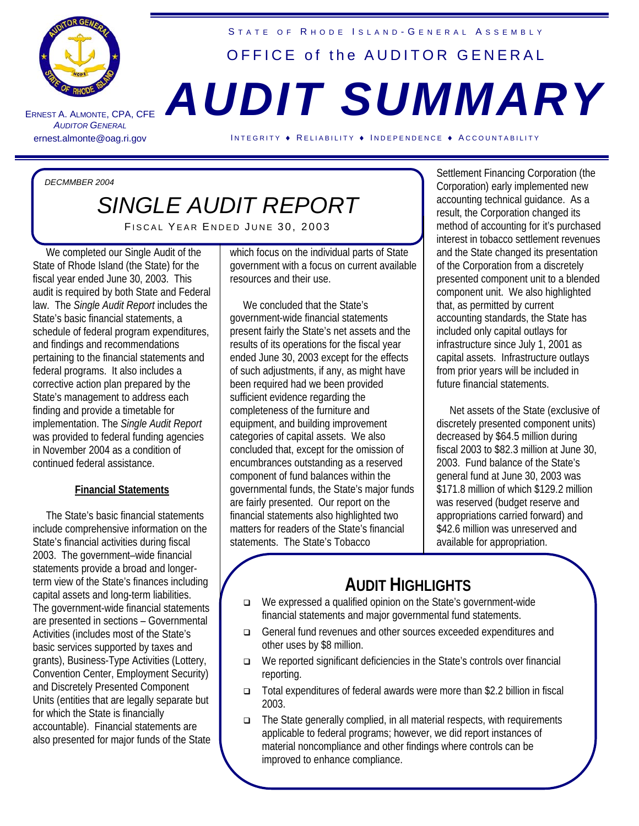

ERNEST A. A LMONTE , CPA, CFE **AUDITOR GENERAL** 

# STATE OF RHODE ISLAND-GENERAL ASSEMBLY OFFICE of the AUDITOR GENERAL

# *AUDIT SUMMARY*

ernest.almonte@oag.ri.gov INTEGRITY ♦ RELIABILITY ♦ INDEPENDENCE ♦ ACCOUNTABILITY

*DECMMBER 2004* 

# *SINGLE AUDIT REPORT*

FISCAL YEAR ENDED JUNE 30, 2003

 We completed our Single Audit of the State of Rhode Island (the State) for the fiscal year ended June 30, 2003. This audit is required by both State and Federal law. The *Single Audit Report* includes the State's basic financial statements, a schedule of federal program expenditures, and findings and recommendations pertaining to the financial statements and federal programs. It also includes a corrective action plan prepared by the State's management to address each finding and provide a timetable for implementation. The *Single Audit Report*  was provided to federal funding agencies in November 2004 as a condition of continued federal assistance.

#### **Financial Statements**

 The State's basic financial statements include comprehensive information on the State's financial activities during fiscal 2003. The government–wide financial statements provide a broad and longerterm view of the State's finances including capital assets and long-term liabilities. The government-wide financial statements are presented in sections – Governmental Activities (includes most of the State's basic services supported by taxes and grants), Business-Type Activities (Lottery, Convention Center, Employment Security) and Discretely Presented Component Units (entities that are legally separate but for which the State is financially accountable). Financial statements are also presented for major funds of the State which focus on the individual parts of State government with a focus on current available resources and their use.

 We concluded that the State's government-wide financial statements present fairly the State's net assets and the results of its operations for the fiscal year ended June 30, 2003 except for the effects of such adjustments, if any, as might have been required had we been provided sufficient evidence regarding the completeness of the furniture and equipment, and building improvement categories of capital assets. We also concluded that, except for the omission of encumbrances outstanding as a reserved component of fund balances within the governmental funds, the State's major funds are fairly presented. Our report on the financial statements also highlighted two matters for readers of the State's financial statements. The State's Tobacco

Settlement Financing Corporation (the Corporation) early implemented new accounting technical guidance. As a result, the Corporation changed its method of accounting for it's purchased interest in tobacco settlement revenues and the State changed its presentation of the Corporation from a discretely presented component unit to a blended component unit. We also highlighted that, as permitted by current accounting standards, the State has included only capital outlays for infrastructure since July 1, 2001 as capital assets. Infrastructure outlays from prior years will be included in future financial statements.

 Net assets of the State (exclusive of discretely presented component units) decreased by \$64.5 million during fiscal 2003 to \$82.3 million at June 30, 2003. Fund balance of the State's general fund at June 30, 2003 was \$171.8 million of which \$129.2 million was reserved (budget reserve and appropriations carried forward) and \$42.6 million was unreserved and available for appropriation.

## **AUDIT HIGHLIGHTS**

- We expressed a qualified opinion on the State's government-wide financial statements and major governmental fund statements.
- General fund revenues and other sources exceeded expenditures and other uses by \$8 million.
- We reported significant deficiencies in the State's controls over financial reporting.
- Total expenditures of federal awards were more than \$2.2 billion in fiscal 2003.
- $\Box$  The State generally complied, in all material respects, with requirements applicable to federal programs; however, we did report instances of material noncompliance and other findings where controls can be improved to enhance compliance.